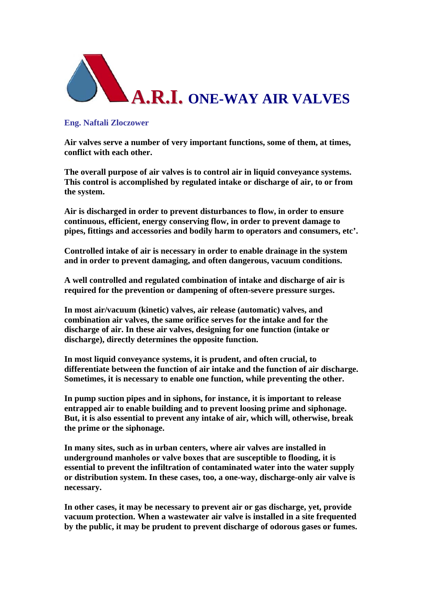

## **Eng. Naftali Zloczower**

**Air valves serve a number of very important functions, some of them, at times, conflict with each other.** 

**The overall purpose of air valves is to control air in liquid conveyance systems. This control is accomplished by regulated intake or discharge of air, to or from the system.**

**Air is discharged in order to prevent disturbances to flow, in order to ensure continuous, efficient, energy conserving flow, in order to prevent damage to pipes, fittings and accessories and bodily harm to operators and consumers, etc'.**

**Controlled intake of air is necessary in order to enable drainage in the system and in order to prevent damaging, and often dangerous, vacuum conditions.**

**A well controlled and regulated combination of intake and discharge of air is required for the prevention or dampening of often-severe pressure surges.**

**In most air/vacuum (kinetic) valves, air release (automatic) valves, and combination air valves, the same orifice serves for the intake and for the discharge of air. In these air valves, designing for one function (intake or discharge), directly determines the opposite function.**

**In most liquid conveyance systems, it is prudent, and often crucial, to differentiate between the function of air intake and the function of air discharge. Sometimes, it is necessary to enable one function, while preventing the other.**

**In pump suction pipes and in siphons, for instance, it is important to release entrapped air to enable building and to prevent loosing prime and siphonage. But, it is also essential to prevent any intake of air, which will, otherwise, break the prime or the siphonage.**

**In many sites, such as in urban centers, where air valves are installed in underground manholes or valve boxes that are susceptible to flooding, it is essential to prevent the infiltration of contaminated water into the water supply or distribution system. In these cases, too, a one-way, discharge-only air valve is necessary.**

**In other cases, it may be necessary to prevent air or gas discharge, yet, provide vacuum protection. When a wastewater air valve is installed in a site frequented by the public, it may be prudent to prevent discharge of odorous gases or fumes.**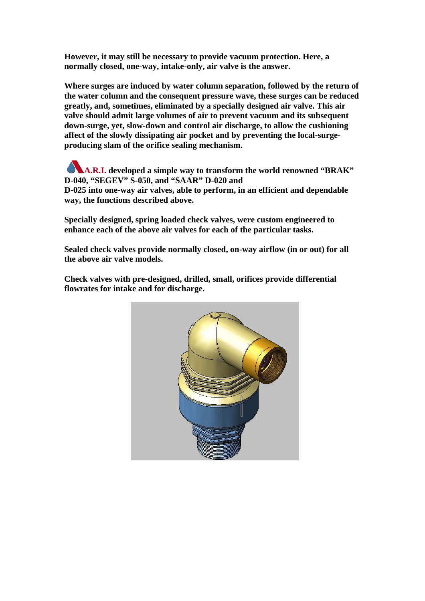**However, it may still be necessary to provide vacuum protection. Here, a normally closed, one-way, intake-only, air valve is the answer.**

**Where surges are induced by water column separation, followed by the return of the water column and the consequent pressure wave, these surges can be reduced greatly, and, sometimes, eliminated by a specially designed air valve. This air valve should admit large volumes of air to prevent vacuum and its subsequent down-surge, yet, slow-down and control air discharge, to allow the cushioning affect of the slowly dissipating air pocket and by preventing the local-surgeproducing slam of the orifice sealing mechanism.**

**A.R.I. developed a simple way to transform the world renowned "BRAK" D-040, "SEGEV" S-050, and "SAAR" D-020 and D-025 into one-way air valves, able to perform, in an efficient and dependable way, the functions described above.**

**Specially designed, spring loaded check valves, were custom engineered to enhance each of the above air valves for each of the particular tasks.**

**Sealed check valves provide normally closed, on-way airflow (in or out) for all the above air valve models.** 

**Check valves with pre-designed, drilled, small, orifices provide differential flowrates for intake and for discharge.**

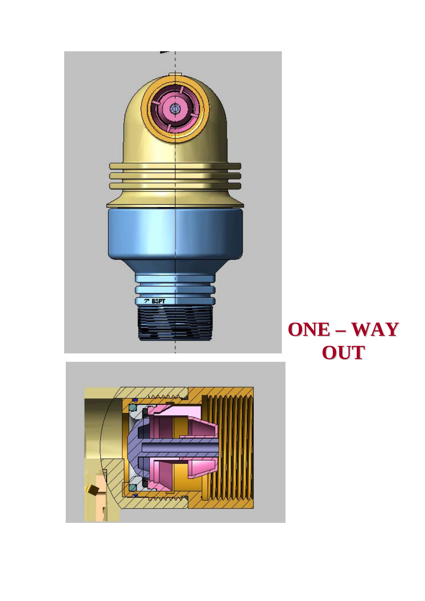



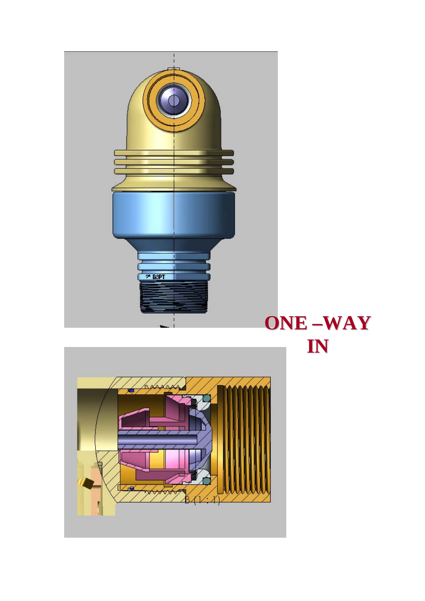

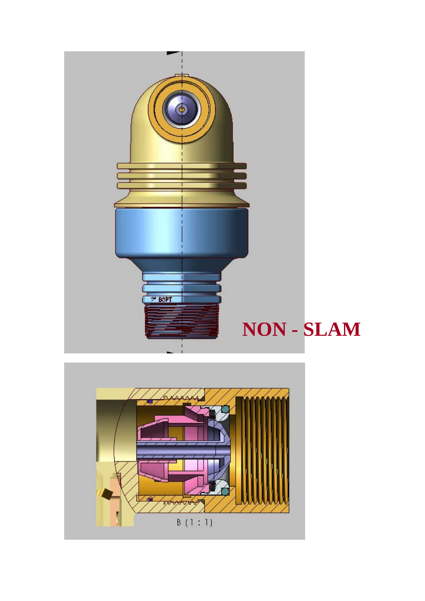